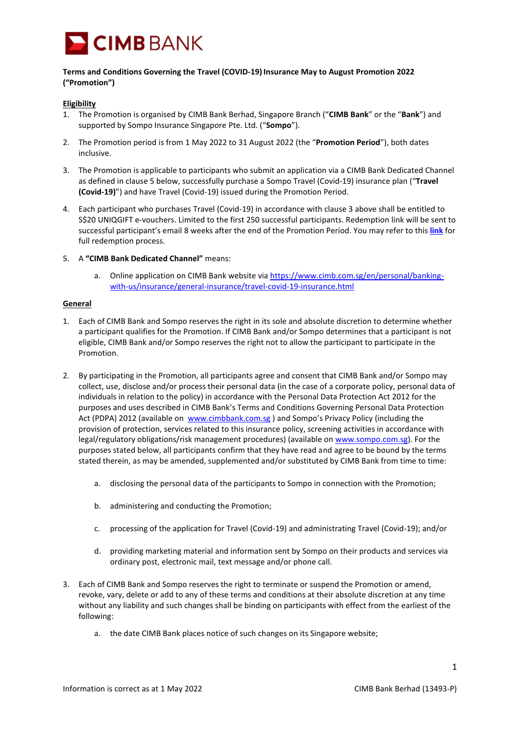

## **Terms and Conditions Governing the Travel (COVID-19)Insurance May to August Promotion 2022 ("Promotion")**

## **Eligibility**

- 1. The Promotion is organised by CIMB Bank Berhad, Singapore Branch ("**CIMB Bank**" or the "**Bank**") and supported by Sompo Insurance Singapore Pte. Ltd. ("**Sompo**").
- 2. The Promotion period is from 1 May 2022 to 31 August 2022 (the "**Promotion Period**"), both dates inclusive.
- 3. The Promotion is applicable to participants who submit an application via a CIMB Bank Dedicated Channel as defined in clause 5 below, successfully purchase a Sompo Travel (Covid-19) insurance plan ("**Travel (Covid-19)**") and have Travel (Covid-19) issued during the Promotion Period.
- 4. Each participant who purchases Travel (Covid-19) in accordance with clause 3 above shall be entitled to S\$20 UNIQGIFT e-vouchers. Limited to the first 250 successful participants. Redemption link will be sent to successful participant's email 8 weeks after the end of the Promotion Period. You may refer to this **[link](https://cimb.com.sg/content/dam/cimbsg/personal/document/news-and-promotions/investments-and-insurance/terms-and-conditions/tnc-redemption-guide-sompo-customer-promotion.pdf)** for full redemption process.
- 5. A **"CIMB Bank Dedicated Channel"** means:
	- a. Online application on CIMB Bank website vi[a https://www.cimb.com.sg/en/personal/banking](https://www.cimb.com.sg/en/personal/banking-with-us/insurance/general-insurance/travel-covid-19-insurance.html)[with-us/insurance/general-insurance/travel-covid-19-insurance.html](https://www.cimb.com.sg/en/personal/banking-with-us/insurance/general-insurance/travel-covid-19-insurance.html)

## **General**

- 1. Each of CIMB Bank and Sompo reserves the right in its sole and absolute discretion to determine whether a participant qualifies for the Promotion. If CIMB Bank and/or Sompo determines that a participant is not eligible, CIMB Bank and/or Sompo reserves the right not to allow the participant to participate in the Promotion.
- 2. By participating in the Promotion, all participants agree and consent that CIMB Bank and/or Sompo may collect, use, disclose and/or process their personal data (in the case of a corporate policy, personal data of individuals in relation to the policy) in accordance with the Personal Data Protection Act 2012 for the purposes and uses described in CIMB Bank's Terms and Conditions Governing Personal Data Protection Act (PDPA) 2012 (available on [www.cimbbank.com.sg](http://www.cimbbank.com.sg/)) and Sompo's Privacy Policy (including the provision of protection, services related to this insurance policy, screening activities in accordance with legal/regulatory obligations/risk management procedures) (available on [www.sompo.com.sg\)](http://www.sompo.com.sg/). For the purposes stated below, all participants confirm that they have read and agree to be bound by the terms stated therein, as may be amended, supplemented and/or substituted by CIMB Bank from time to time:
	- a. disclosing the personal data of the participants to Sompo in connection with the Promotion;
	- b. administering and conducting the Promotion;
	- c. processing of the application for Travel (Covid-19) and administrating Travel (Covid-19); and/or
	- d. providing marketing material and information sent by Sompo on their products and services via ordinary post, electronic mail, text message and/or phone call.
- 3. Each of CIMB Bank and Sompo reserves the right to terminate or suspend the Promotion or amend, revoke, vary, delete or add to any of these terms and conditions at their absolute discretion at any time without any liability and such changes shall be binding on participants with effect from the earliest of the following:
	- a. the date CIMB Bank places notice of such changes on its Singapore website;